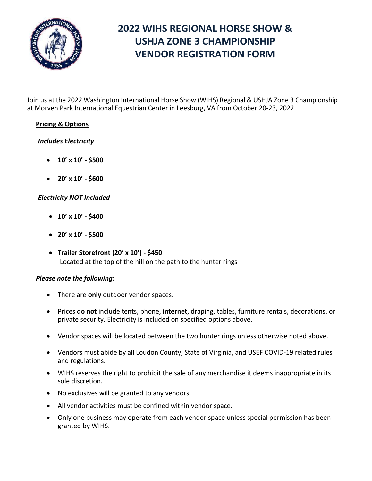

# **2022 WIHS REGIONAL HORSE SHOW & USHJA ZONE 3 CHAMPIONSHIP VENDOR REGISTRATION FORM**

Join us at the 2022 Washington International Horse Show (WIHS) Regional & USHJA Zone 3 Championship at Morven Park International Equestrian Center in Leesburg, VA from October 20-23, 2022

### **Pricing & Options**

#### *Includes Electricity*

- **10' x 10' - \$500**
- **20' x 10' - \$600**

### *Electricity NOT Included*

- **10' x 10' - \$400**
- **20' x 10' - \$500**
- **Trailer Storefront (20' x 10') - \$450** Located at the top of the hill on the path to the hunter rings

#### *Please note the following***:**

- There are **only** outdoor vendor spaces.
- Prices **do not** include tents, phone, **internet**, draping, tables, furniture rentals, decorations, or private security. Electricity is included on specified options above.
- Vendor spaces will be located between the two hunter rings unless otherwise noted above.
- Vendors must abide by all Loudon County, State of Virginia, and USEF COVID-19 related rules and regulations.
- WIHS reserves the right to prohibit the sale of any merchandise it deems inappropriate in its sole discretion.
- No exclusives will be granted to any vendors.
- All vendor activities must be confined within vendor space.
- Only one business may operate from each vendor space unless special permission has been granted by WIHS.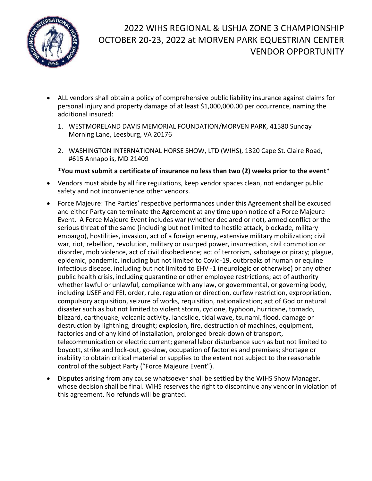

# 2022 WIHS REGIONAL & USHJA ZONE 3 CHAMPIONSHIP OCTOBER 20-23, 2022 at MORVEN PARK EQUESTRIAN CENTER VENDOR OPPORTUNITY

- ALL vendors shall obtain a policy of comprehensive public liability insurance against claims for personal injury and property damage of at least \$1,000,000.00 per occurrence, naming the additional insured:
	- 1. WESTMORELAND DAVIS MEMORIAL FOUNDATION/MORVEN PARK, 41580 Sunday Morning Lane, Leesburg, VA 20176
	- 2. WASHINGTON INTERNATIONAL HORSE SHOW, LTD (WIHS), 1320 Cape St. Claire Road, #615 Annapolis, MD 21409
	- **\*You must submit a certificate of insurance no less than two (2) weeks prior to the event\***
- Vendors must abide by all fire regulations, keep vendor spaces clean, not endanger public safety and not inconvenience other vendors.
- Force Majeure: The Parties' respective performances under this Agreement shall be excused and either Party can terminate the Agreement at any time upon notice of a Force Majeure Event. A Force Majeure Event includes war (whether declared or not), armed conflict or the serious threat of the same (including but not limited to hostile attack, blockade, military embargo), hostilities, invasion, act of a foreign enemy, extensive military mobilization; civil war, riot, rebellion, revolution, military or usurped power, insurrection, civil commotion or disorder, mob violence, act of civil disobedience; act of terrorism, sabotage or piracy; plague, epidemic, pandemic, including but not limited to Covid-19, outbreaks of human or equine infectious disease, including but not limited to EHV -1 (neurologic or otherwise) or any other public health crisis, including quarantine or other employee restrictions; act of authority whether lawful or unlawful, compliance with any law, or governmental, or governing body, including USEF and FEI, order, rule, regulation or direction, curfew restriction, expropriation, compulsory acquisition, seizure of works, requisition, nationalization; act of God or natural disaster such as but not limited to violent storm, cyclone, typhoon, hurricane, tornado, blizzard, earthquake, volcanic activity, landslide, tidal wave, tsunami, flood, damage or destruction by lightning, drought; explosion, fire, destruction of machines, equipment, factories and of any kind of installation, prolonged break-down of transport, telecommunication or electric current; general labor disturbance such as but not limited to boycott, strike and lock-out, go-slow, occupation of factories and premises; shortage or inability to obtain critical material or supplies to the extent not subject to the reasonable control of the subject Party ("Force Majeure Event").
- Disputes arising from any cause whatsoever shall be settled by the WIHS Show Manager, whose decision shall be final. WIHS reserves the right to discontinue any vendor in violation of this agreement. No refunds will be granted.